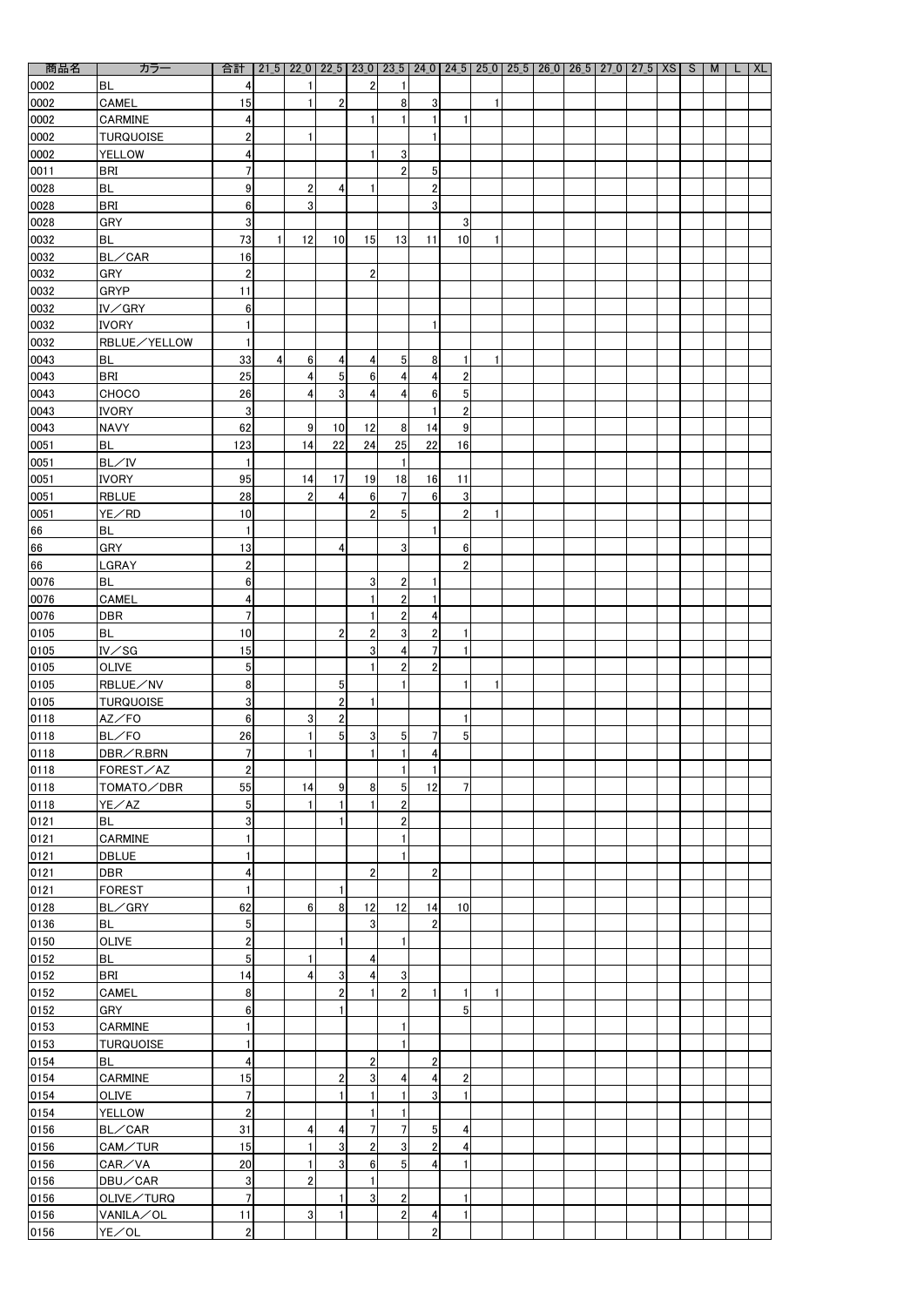| $\bullet$<br>商品名 | カラー              | 合計                      |                | $21_5$ $22_0$ $22_5$ $23_0$ $23_5$ $24_0$ $24_5$ $25_0$ $25_5$ $26_0$ $26_5$ $27_0$ $27_5$ $X$ S |                  |                         |                |                         |                |   |  |  |  | M | <b>XL</b> |
|------------------|------------------|-------------------------|----------------|--------------------------------------------------------------------------------------------------|------------------|-------------------------|----------------|-------------------------|----------------|---|--|--|--|---|-----------|
| 0002             | <b>BL</b>        | 4                       |                |                                                                                                  |                  | $\overline{2}$          |                |                         |                |   |  |  |  |   |           |
| 0002             | <b>CAMEL</b>     | 15                      |                |                                                                                                  | $\overline{2}$   |                         | 8              | 3                       |                | 1 |  |  |  |   |           |
|                  |                  |                         |                |                                                                                                  |                  |                         |                |                         |                |   |  |  |  |   |           |
| 0002             | <b>CARMINE</b>   | 4                       |                |                                                                                                  |                  | 1                       |                |                         |                |   |  |  |  |   |           |
| 0002             | <b>TURQUOISE</b> | $\overline{\mathbf{c}}$ |                | 1                                                                                                |                  |                         |                |                         |                |   |  |  |  |   |           |
| 0002             | <b>YELLOW</b>    | 4                       |                |                                                                                                  |                  | 1                       | 3              |                         |                |   |  |  |  |   |           |
| 0011             | <b>BRI</b>       | $\overline{1}$          |                |                                                                                                  |                  |                         | $\overline{2}$ | 5                       |                |   |  |  |  |   |           |
| 0028             | <b>BL</b>        | 9                       |                | $\overline{2}$                                                                                   | 4                | 1                       |                | $\overline{2}$          |                |   |  |  |  |   |           |
| 0028             | <b>BRI</b>       | 6                       |                | 3                                                                                                |                  |                         |                | 3                       |                |   |  |  |  |   |           |
| 0028             | <b>GRY</b>       | 3                       |                |                                                                                                  |                  |                         |                |                         | 3              |   |  |  |  |   |           |
| 0032             | <b>BL</b>        | 73                      |                | 12                                                                                               | 10 <sup>1</sup>  | 15                      | 13             | 11                      | 10             |   |  |  |  |   |           |
| 0032             | BL/CAR           | 16                      |                |                                                                                                  |                  |                         |                |                         |                |   |  |  |  |   |           |
|                  |                  |                         |                |                                                                                                  |                  |                         |                |                         |                |   |  |  |  |   |           |
| 0032             | <b>GRY</b>       | $\overline{\mathbf{c}}$ |                |                                                                                                  |                  | $\boldsymbol{2}$        |                |                         |                |   |  |  |  |   |           |
| 0032             | <b>GRYP</b>      | 11                      |                |                                                                                                  |                  |                         |                |                         |                |   |  |  |  |   |           |
| 0032             | IV/GRY           | $6\phantom{1}6$         |                |                                                                                                  |                  |                         |                |                         |                |   |  |  |  |   |           |
| 0032             | <b>IVORY</b>     | 1                       |                |                                                                                                  |                  |                         |                |                         |                |   |  |  |  |   |           |
| 0032             | RBLUE/YELLOW     | 1                       |                |                                                                                                  |                  |                         |                |                         |                |   |  |  |  |   |           |
| 0043             | <b>BL</b>        | 33                      | 4 <sup>1</sup> | $6 \mid$                                                                                         | 4                | 4                       | 5 <sub>l</sub> | 8                       |                | 1 |  |  |  |   |           |
| 0043             | <b>BRI</b>       | 25                      |                | $\vert 4 \vert$                                                                                  | 5 <sub>l</sub>   | $\boldsymbol{6}$        | 4              | 4                       | $\mathbf{2}$   |   |  |  |  |   |           |
| 0043             | CHOCO            | 26                      |                | $\vert 4 \vert$                                                                                  | 3 <sup>1</sup>   | $\boldsymbol{4}$        | 4              | $6 \overline{6}$        | 5 <sub>l</sub> |   |  |  |  |   |           |
| 0043             | <b>IVORY</b>     | 3                       |                |                                                                                                  |                  |                         |                |                         | $\overline{2}$ |   |  |  |  |   |           |
| 0043             | <b>NAVY</b>      | 62                      |                | 9                                                                                                | 10               | 12                      | 8              | 14                      | 9              |   |  |  |  |   |           |
|                  |                  |                         |                |                                                                                                  |                  |                         |                |                         |                |   |  |  |  |   |           |
| 0051             | <b>BL</b>        | 123                     |                | 14                                                                                               | 22               | 24                      | 25             | 22                      | 16             |   |  |  |  |   |           |
| 0051             | BL/IV            | 1                       |                |                                                                                                  |                  |                         |                |                         |                |   |  |  |  |   |           |
| 0051             | <b>IVORY</b>     | 95                      |                | 14                                                                                               | 17               | 19                      | 18             | 16                      | 11             |   |  |  |  |   |           |
| 0051             | <b>RBLUE</b>     | 28                      |                | $\mathbf{2}$                                                                                     | 4                | $6 \overline{6}$        | $\overline{7}$ | $6\phantom{1}$          | 3              |   |  |  |  |   |           |
| 0051             | YE/RD            | 10                      |                |                                                                                                  |                  | $\overline{2}$          | $\overline{5}$ |                         | $\overline{2}$ | 1 |  |  |  |   |           |
| 66               | <b>BL</b>        | 1                       |                |                                                                                                  |                  |                         |                |                         |                |   |  |  |  |   |           |
| 66               | <b>GRY</b>       | 13                      |                |                                                                                                  | $\overline{4}$   |                         | 3 <sup>1</sup> |                         | 6 <sup>1</sup> |   |  |  |  |   |           |
| 66               | LGRAY            | $\overline{2}$          |                |                                                                                                  |                  |                         |                |                         | $\overline{2}$ |   |  |  |  |   |           |
| 0076             | <b>BL</b>        | $6\phantom{1}6$         |                |                                                                                                  |                  | $\mathbf{3}$            | $\mathbf{2}$   |                         |                |   |  |  |  |   |           |
|                  |                  |                         |                |                                                                                                  |                  |                         |                |                         |                |   |  |  |  |   |           |
| 0076             | <b>CAMEL</b>     | 4                       |                |                                                                                                  |                  |                         | $\overline{2}$ |                         |                |   |  |  |  |   |           |
| 0076             | <b>DBR</b>       | $\overline{7}$          |                |                                                                                                  |                  |                         | $\overline{2}$ | 4                       |                |   |  |  |  |   |           |
| 0105             | <b>BL</b>        | 10                      |                |                                                                                                  | $\overline{2}$   | $\boldsymbol{2}$        | 3              | $\overline{2}$          |                |   |  |  |  |   |           |
| 0105             | $IV\diagup$ SG   | 15                      |                |                                                                                                  |                  | $\mathbf{3}$            | 4              |                         |                |   |  |  |  |   |           |
| 0105             | <b>OLIVE</b>     | $\overline{5}$          |                |                                                                                                  |                  |                         | $\overline{2}$ | $\overline{2}$          |                |   |  |  |  |   |           |
| 0105             | RBLUE/NV         | 8                       |                |                                                                                                  | 5                |                         |                |                         |                | 1 |  |  |  |   |           |
| 0105             | <b>TURQUOISE</b> | $\overline{3}$          |                |                                                                                                  | $\boldsymbol{2}$ | 1                       |                |                         |                |   |  |  |  |   |           |
| 0118             | $AZ$ FO          | $\boldsymbol{6}$        |                | 3 <sup>1</sup>                                                                                   | $\overline{2}$   |                         |                |                         |                |   |  |  |  |   |           |
| 0118             | BL/FO            | 26                      |                |                                                                                                  | 5 <sup>1</sup>   | 3                       | 5 <sup>1</sup> | 7                       | 5 <sub>l</sub> |   |  |  |  |   |           |
|                  | DBR/R.BRN        | $\overline{1}$          |                |                                                                                                  |                  | $\mathbf{1}$            |                | 4                       |                |   |  |  |  |   |           |
| 0118             |                  |                         |                |                                                                                                  |                  |                         |                |                         |                |   |  |  |  |   |           |
| 0118             | FOREST/AZ        | $\overline{c}$          |                |                                                                                                  |                  |                         |                |                         |                |   |  |  |  |   |           |
| 0118             | TOMATO/DBR       | 55                      |                | 14                                                                                               | 9                | 8 <sup>1</sup>          | 5 <sub>l</sub> | 12                      | 7              |   |  |  |  |   |           |
| 0118             | YE/AZ            | 5                       |                |                                                                                                  |                  | 1                       | $\overline{2}$ |                         |                |   |  |  |  |   |           |
| 0121             | <b>BL</b>        | 3                       |                |                                                                                                  |                  |                         | $\overline{2}$ |                         |                |   |  |  |  |   |           |
| 0121             | CARMINE          | 1                       |                |                                                                                                  |                  |                         |                |                         |                |   |  |  |  |   |           |
| 0121             | <b>DBLUE</b>     | 1                       |                |                                                                                                  |                  |                         |                |                         |                |   |  |  |  |   |           |
| 0121             | <b>DBR</b>       | 4                       |                |                                                                                                  |                  | $\boldsymbol{2}$        |                | $\overline{2}$          |                |   |  |  |  |   |           |
| 0121             | <b>FOREST</b>    | 1                       |                |                                                                                                  |                  |                         |                |                         |                |   |  |  |  |   |           |
| 0128             | BL/GRY           | 62                      |                | 6                                                                                                | 8 <sup>1</sup>   | 12                      | 12             | 14                      | 10             |   |  |  |  |   |           |
| 0136             | <b>BL</b>        | $\sqrt{5}$              |                |                                                                                                  |                  | $\mathbf{3}$            |                | $\overline{2}$          |                |   |  |  |  |   |           |
|                  |                  |                         |                |                                                                                                  |                  |                         |                |                         |                |   |  |  |  |   |           |
| 0150             | <b>OLIVE</b>     | $\overline{2}$          |                |                                                                                                  |                  |                         |                |                         |                |   |  |  |  |   |           |
| 0152             | <b>BL</b>        | $\overline{5}$          |                |                                                                                                  |                  | 4                       |                |                         |                |   |  |  |  |   |           |
| 0152             | <b>BRI</b>       | 14                      |                | $\vert 4 \vert$                                                                                  | 3                | $\overline{\mathbf{4}}$ | 3              |                         |                |   |  |  |  |   |           |
| 0152             | <b>CAMEL</b>     | 8                       |                |                                                                                                  | $\boldsymbol{2}$ |                         | $\mathbf{2}$   |                         |                |   |  |  |  |   |           |
| 0152             | <b>GRY</b>       | $\boldsymbol{6}$        |                |                                                                                                  |                  |                         |                |                         | 5              |   |  |  |  |   |           |
| 0153             | CARMINE          | 1                       |                |                                                                                                  |                  |                         |                |                         |                |   |  |  |  |   |           |
| 0153             | <b>TURQUOISE</b> | $\mathbf{1}$            |                |                                                                                                  |                  |                         | $\blacksquare$ |                         |                |   |  |  |  |   |           |
| 0154             | <b>BL</b>        | 4                       |                |                                                                                                  |                  | $\overline{2}$          |                | $\overline{2}$          |                |   |  |  |  |   |           |
| 0154             | <b>CARMINE</b>   | 15                      |                |                                                                                                  | $\boldsymbol{2}$ | 3                       | 4              | $\overline{\mathbf{4}}$ | $\overline{2}$ |   |  |  |  |   |           |
|                  | OLIVE            | $\overline{1}$          |                |                                                                                                  |                  | 1                       |                | 3                       |                |   |  |  |  |   |           |
| 0154             |                  |                         |                |                                                                                                  |                  |                         |                |                         |                |   |  |  |  |   |           |
| 0154             | <b>YELLOW</b>    | $\overline{c}$          |                |                                                                                                  |                  | 1                       |                |                         |                |   |  |  |  |   |           |
| 0156             | BL/CAR           | 31                      |                | 4                                                                                                | 4                | $\overline{7}$          | 7              | 5 <sub>l</sub>          | 4              |   |  |  |  |   |           |
| 0156             | CAM/TUR          | 15                      |                |                                                                                                  | $\mathbf{3}$     | $\mathbf{2}$            | $\mathbf{3}$   | $\overline{2}$          | 4              |   |  |  |  |   |           |
| 0156             | CAR/VA           | 20                      |                | 1                                                                                                | 3 <sup>1</sup>   | $6 \overline{6}$        | 5 <sub>l</sub> | 4                       |                |   |  |  |  |   |           |
| 0156             | DBU/CAR          | 3                       |                | 2 <sub>2</sub>                                                                                   |                  | $\mathbf{1}$            |                |                         |                |   |  |  |  |   |           |
| 0156             | OLIVE/TURQ       | $\overline{1}$          |                |                                                                                                  |                  | $\mathbf{3}$            | $\mathbf{2}$   |                         |                |   |  |  |  |   |           |
| 0156             | VANILA/OL        | 11                      |                | $\overline{3}$                                                                                   |                  |                         | $\overline{c}$ | 4                       |                |   |  |  |  |   |           |
| 0156             | YE/OL            | $\overline{2}$          |                |                                                                                                  |                  |                         |                | $\overline{2}$          |                |   |  |  |  |   |           |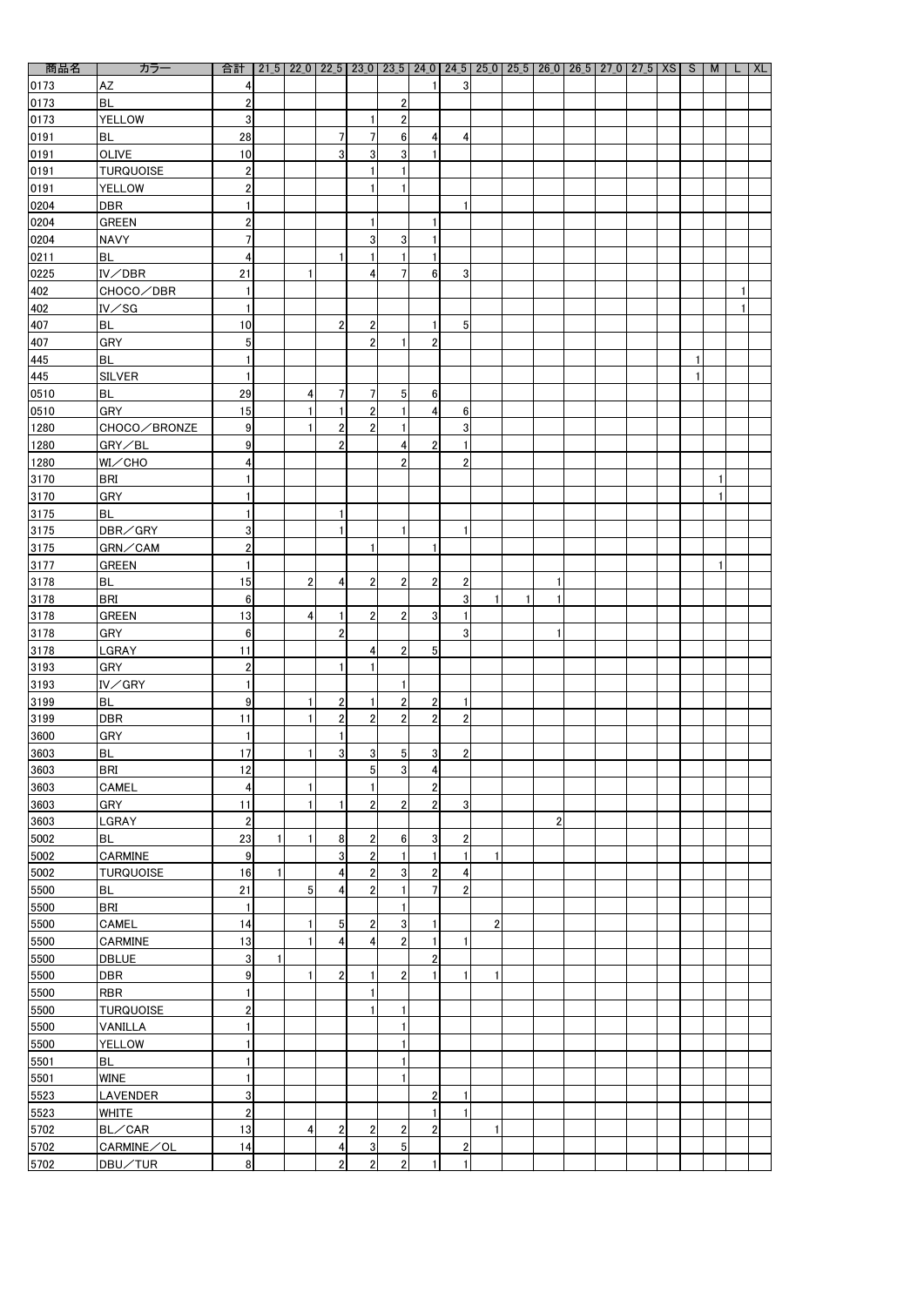| 商品名               | カラー              | 合計                      |                 |                  |                  |                |                |                 | 21_5   22_0   22_5   23_0   23_5   24_0   24_5   25_0   25_5   26_0   26_5   27_0   27_5   XS   S |                |  |  | M            | XL |
|-------------------|------------------|-------------------------|-----------------|------------------|------------------|----------------|----------------|-----------------|---------------------------------------------------------------------------------------------------|----------------|--|--|--------------|----|
| 0173              | <b>AZ</b>        | 4                       |                 |                  |                  |                |                | 3 <sup>1</sup>  |                                                                                                   |                |  |  |              |    |
| 0173              | <b>BL</b>        | $\boldsymbol{2}$        |                 |                  |                  | $\overline{2}$ |                |                 |                                                                                                   |                |  |  |              |    |
| 0173              | <b>YELLOW</b>    | 3                       |                 |                  | 1                | $\overline{c}$ |                |                 |                                                                                                   |                |  |  |              |    |
| 0191              | <b>BL</b>        | 28                      |                 | 7                | $\overline{7}$   | $6\phantom{.}$ | $\overline{4}$ |                 |                                                                                                   |                |  |  |              |    |
|                   |                  |                         |                 |                  |                  |                |                | 4               |                                                                                                   |                |  |  |              |    |
| 0191              | <b>OLIVE</b>     | 10                      |                 | 3 <sup>1</sup>   | 3 <sup>1</sup>   | $\mathbf{3}$   |                |                 |                                                                                                   |                |  |  |              |    |
| 0191              | <b>TURQUOISE</b> | $\boldsymbol{2}$        |                 |                  | 1                |                |                |                 |                                                                                                   |                |  |  |              |    |
| 0191              | <b>YELLOW</b>    | $\mathbf{2}$            |                 |                  | 1                |                |                |                 |                                                                                                   |                |  |  |              |    |
| 0204              | <b>DBR</b>       |                         |                 |                  |                  |                |                |                 |                                                                                                   |                |  |  |              |    |
| 0204              | <b>GREEN</b>     | $\mathbf{2}$            |                 |                  | $\mathbf{1}$     |                |                |                 |                                                                                                   |                |  |  |              |    |
| 0204              | <b>NAVY</b>      | $\overline{7}$          |                 |                  | 3 <sup>1</sup>   | $\mathbf{3}$   |                |                 |                                                                                                   |                |  |  |              |    |
| 0211              | <b>BL</b>        | 4                       |                 | 1                | 1                |                |                |                 |                                                                                                   |                |  |  |              |    |
| 0225              | IV/DBR           | 21                      |                 |                  | 4                |                | 6 <sup>1</sup> | 3               |                                                                                                   |                |  |  |              |    |
| 402               | CHOCO∕DBR        |                         |                 |                  |                  |                |                |                 |                                                                                                   |                |  |  |              |    |
| 402               | $IV\diagup$ SG   | $\mathbf{1}$            |                 |                  |                  |                |                |                 |                                                                                                   |                |  |  |              |    |
| 407               | <b>BL</b>        | 10                      |                 | $\overline{2}$   | $\boldsymbol{2}$ |                |                | 5 <sub>l</sub>  |                                                                                                   |                |  |  |              |    |
| 407               | <b>GRY</b>       | 5 <sub>5</sub>          |                 |                  | $\overline{2}$   |                | $\overline{2}$ |                 |                                                                                                   |                |  |  |              |    |
|                   | <b>BL</b>        | $\mathbf{1}$            |                 |                  |                  |                |                |                 |                                                                                                   |                |  |  |              |    |
| $\frac{445}{445}$ |                  |                         |                 |                  |                  |                |                |                 |                                                                                                   |                |  |  |              |    |
|                   | <b>SILVER</b>    | 1                       |                 |                  |                  |                |                |                 |                                                                                                   |                |  |  |              |    |
| 0510              | <b>BL</b>        | 29                      | $\vert 4 \vert$ | 7                | $\overline{7}$   | 5 <sup>1</sup> | 6 <sup>1</sup> |                 |                                                                                                   |                |  |  |              |    |
| 0510              | <b>GRY</b>       | 15                      |                 | 1                | $\mathbf{2}$     |                | $\overline{4}$ | $6\phantom{.}6$ |                                                                                                   |                |  |  |              |    |
| 1280              | CHOCO∕BRONZE     | 9                       |                 | $\boldsymbol{2}$ | $\mathbf{2}$     |                |                | 3               |                                                                                                   |                |  |  |              |    |
| 1280              | GRY/BL           | 9                       |                 | $\overline{2}$   |                  | 4              | $\overline{2}$ | $\mathbf{1}$    |                                                                                                   |                |  |  |              |    |
| 1280              | WI/CHO           | 4                       |                 |                  |                  | 2              |                | $\overline{2}$  |                                                                                                   |                |  |  |              |    |
| 3170              | <b>BRI</b>       |                         |                 |                  |                  |                |                |                 |                                                                                                   |                |  |  | 1            |    |
| 3170              | <b>GRY</b>       |                         |                 |                  |                  |                |                |                 |                                                                                                   |                |  |  | 1            |    |
| 3175              | <b>BL</b>        |                         |                 | 1                |                  |                |                |                 |                                                                                                   |                |  |  |              |    |
| 3175              | DBR/GRY          | $\overline{3}$          |                 | 1                |                  |                |                |                 |                                                                                                   |                |  |  |              |    |
|                   |                  | $\mathbf{2}$            |                 |                  | 11               |                | 11             |                 |                                                                                                   |                |  |  |              |    |
| 3175              | GRN/CAM          | $\mathbf{1}$            |                 |                  |                  |                |                |                 |                                                                                                   |                |  |  | $\mathbf{1}$ |    |
| 3177              | <b>GREEN</b>     |                         |                 |                  |                  |                |                |                 |                                                                                                   |                |  |  |              |    |
| 3178              | <b>BL</b>        | 15                      | $\overline{2}$  | 4                | $\mathbf{2}$     | $\overline{2}$ | 2 <sup>1</sup> | $\overline{2}$  |                                                                                                   | 1              |  |  |              |    |
| 3178              | <b>BRI</b>       | 6 <sup>1</sup>          |                 |                  |                  |                |                | 3               | 1                                                                                                 |                |  |  |              |    |
| 3178              | <b>GREEN</b>     | 13                      | $\vert$         | 1                | $\mathbf{2}$     | $\overline{2}$ | 3 <sup>1</sup> |                 |                                                                                                   |                |  |  |              |    |
| 3178              | <b>GRY</b>       | 6 <sup>1</sup>          |                 | 2                |                  |                |                | $\overline{3}$  |                                                                                                   | 1.             |  |  |              |    |
| 3178              | LGRAY            | 11                      |                 |                  | 4                | $\overline{2}$ | 5 <sup>1</sup> |                 |                                                                                                   |                |  |  |              |    |
| 3193              | <b>GRY</b>       | $\boldsymbol{2}$        |                 | 1                | 1                |                |                |                 |                                                                                                   |                |  |  |              |    |
| 3193              | IV/GRY           | 1                       |                 |                  |                  |                |                |                 |                                                                                                   |                |  |  |              |    |
| 3199              | <b>BL</b>        | 9                       |                 | $\boldsymbol{2}$ | $\mathbf{1}$     | $\mathbf{2}$   | $\overline{2}$ | $\mathbf{1}$    |                                                                                                   |                |  |  |              |    |
| 3199              | <b>DBR</b>       | 11                      |                 | $\overline{2}$   | $\overline{2}$   | $\overline{2}$ | 2              | $\overline{2}$  |                                                                                                   |                |  |  |              |    |
| 3600              | <b>GRY</b>       | $\mathbf{1}$            |                 |                  |                  |                |                |                 |                                                                                                   |                |  |  |              |    |
| 3603              | <b>BL</b>        | 17                      |                 | 3 <sup>1</sup>   | 3 <sup>1</sup>   | 5 <sub>l</sub> | 3 <sup>1</sup> | $\overline{2}$  |                                                                                                   |                |  |  |              |    |
| 3603              | <b>BRI</b>       | 12                      |                 |                  | 5 <sub>l</sub>   | 3 <sup>1</sup> | 4              |                 |                                                                                                   |                |  |  |              |    |
|                   | CAMEL            |                         |                 |                  |                  |                |                |                 |                                                                                                   |                |  |  |              |    |
| 3603              |                  | $\vert$                 |                 |                  | 1                |                | $\overline{2}$ |                 |                                                                                                   |                |  |  |              |    |
| 3603              | <b>GRY</b>       | 11                      |                 | 1                | $\overline{2}$   | $\overline{2}$ | $\overline{2}$ | 3               |                                                                                                   |                |  |  |              |    |
| 3603              | <b>LGRAY</b>     | $2\vert$                |                 |                  |                  |                |                |                 |                                                                                                   | $\overline{2}$ |  |  |              |    |
| 5002              | <b>BL</b>        | 23                      |                 | 8                | $\mathbf{2}$     | $6\phantom{.}$ | 3 <sup>1</sup> | $\overline{2}$  |                                                                                                   |                |  |  |              |    |
| 5002              | CARMINE          | 9                       |                 | 3 <sup>1</sup>   | $\mathbf{2}$     |                |                | $\mathbf{1}$    | 1                                                                                                 |                |  |  |              |    |
| 5002              | <b>TURQUOISE</b> | 16                      |                 | 4                | 2 <sup>2</sup>   | $\mathbf{3}$   | $\mathbf{2}$   | 4               |                                                                                                   |                |  |  |              |    |
| 5500              | <b>BL</b>        | 21                      | 5 <sub>l</sub>  | 4                | $\overline{2}$   |                |                | $\overline{2}$  |                                                                                                   |                |  |  |              |    |
| 5500              | <b>BRI</b>       | 1                       |                 |                  |                  |                |                |                 |                                                                                                   |                |  |  |              |    |
| 5500              | <b>CAMEL</b>     | 14                      |                 | 5 <sub>l</sub>   | $\mathbf{2}$     | 3 <sup>1</sup> | 1.             |                 | $\overline{2}$                                                                                    |                |  |  |              |    |
| 5500              | CARMINE          | 13                      |                 | 4                | 4                | $\overline{2}$ | 1.             |                 |                                                                                                   |                |  |  |              |    |
| 5500              | <b>DBLUE</b>     | 3 <sup>1</sup>          |                 |                  |                  |                | $\overline{2}$ |                 |                                                                                                   |                |  |  |              |    |
| 5500              | <b>DBR</b>       | 9                       |                 | $\overline{2}$   | 1                | $\overline{2}$ |                |                 | 1                                                                                                 |                |  |  |              |    |
| 5500              | <b>RBR</b>       | $\mathbf{1}$            |                 |                  | $\mathbf{1}$     |                |                |                 |                                                                                                   |                |  |  |              |    |
|                   |                  |                         |                 |                  | 1                |                |                |                 |                                                                                                   |                |  |  |              |    |
| 5500              | <b>TURQUOISE</b> | $\overline{\mathbf{c}}$ |                 |                  |                  |                |                |                 |                                                                                                   |                |  |  |              |    |
| 5500              | VANILLA          | 1                       |                 |                  |                  |                |                |                 |                                                                                                   |                |  |  |              |    |
| 5500              | <b>YELLOW</b>    | 1                       |                 |                  |                  | 1              |                |                 |                                                                                                   |                |  |  |              |    |
| 5501              | <b>BL</b>        |                         |                 |                  |                  |                |                |                 |                                                                                                   |                |  |  |              |    |
| 5501              | <b>WINE</b>      | $\mathbf{1}$            |                 |                  |                  |                |                |                 |                                                                                                   |                |  |  |              |    |
| 5523              | <b>LAVENDER</b>  | 3                       |                 |                  |                  |                | $\overline{2}$ |                 |                                                                                                   |                |  |  |              |    |
| 5523              | <b>WHITE</b>     | $\overline{2}$          |                 |                  |                  |                |                |                 |                                                                                                   |                |  |  |              |    |
| 5702              | BL/CAR           | 13                      | $\vert$         | $\boldsymbol{2}$ | $2\vert$         | $\overline{2}$ | $\overline{2}$ |                 | 1                                                                                                 |                |  |  |              |    |
| 5702              | CARMINE/OL       | 14                      |                 | 4                | 3 <sup>1</sup>   | 5 <sub>5</sub> |                | $\mathbf{2}$    |                                                                                                   |                |  |  |              |    |
| 5702              | DBU/TUR          | 8 <sup>1</sup>          |                 | $\overline{2}$   | $2\vert$         | $\mathbf{2}$   | 1              | $\mathbf{1}$    |                                                                                                   |                |  |  |              |    |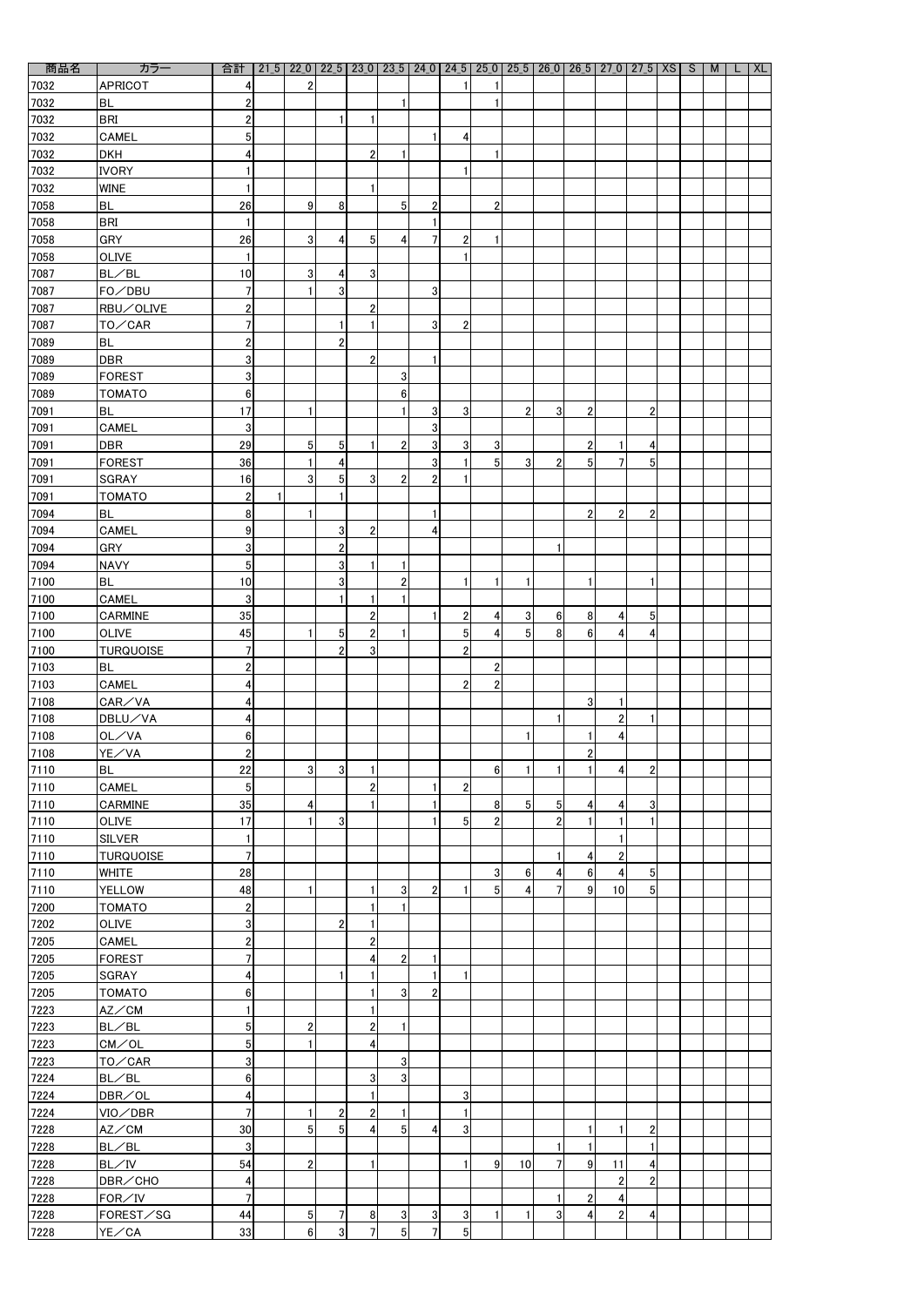| 商品名    | カラー              | 合計                      |                 |                  |                  |                |                |                |                         |                | 21_5 22_0 22_5 23_0 23_5 24_0 24_5 25_0 25_6 26_0 26_5 27_0 27_5   XS   S |                 |                  |                  |  | M | <b>XL</b> |
|--------|------------------|-------------------------|-----------------|------------------|------------------|----------------|----------------|----------------|-------------------------|----------------|---------------------------------------------------------------------------|-----------------|------------------|------------------|--|---|-----------|
| 7032   | <b>APRICOT</b>   | 4                       | 2               |                  |                  |                |                |                |                         |                |                                                                           |                 |                  |                  |  |   |           |
| 7032   | <b>BL</b>        | $\overline{c}$          |                 |                  |                  |                |                |                |                         |                |                                                                           |                 |                  |                  |  |   |           |
| 7032   | <b>BRI</b>       | $\overline{\mathbf{c}}$ |                 |                  | 1                |                |                |                |                         |                |                                                                           |                 |                  |                  |  |   |           |
| 7032   | CAMEL            | 5                       |                 |                  |                  |                |                | 4              |                         |                |                                                                           |                 |                  |                  |  |   |           |
|        |                  |                         |                 |                  |                  |                |                |                | 1                       |                |                                                                           |                 |                  |                  |  |   |           |
| 7032   | <b>DKH</b>       | 4                       |                 |                  | $\overline{2}$   |                |                |                |                         |                |                                                                           |                 |                  |                  |  |   |           |
| 7032   | <b>IVORY</b>     | 1                       |                 |                  |                  |                |                |                |                         |                |                                                                           |                 |                  |                  |  |   |           |
| 7032   | <b>WINE</b>      | 1                       |                 |                  | 1                |                |                |                |                         |                |                                                                           |                 |                  |                  |  |   |           |
| 7058   | <b>BL</b>        | 26                      | 9               | 8                |                  | 5              | $\overline{2}$ |                | 2                       |                |                                                                           |                 |                  |                  |  |   |           |
| 7058   | <b>BRI</b>       | 1                       |                 |                  |                  |                |                |                |                         |                |                                                                           |                 |                  |                  |  |   |           |
| 7058   | <b>GRY</b>       | 26                      | $\overline{3}$  | 4                | 5 <sup>1</sup>   | 4              |                | 2              | 1                       |                |                                                                           |                 |                  |                  |  |   |           |
| 7058   | OLIVE            | 1                       |                 |                  |                  |                |                |                |                         |                |                                                                           |                 |                  |                  |  |   |           |
| 7087   | BL/BL            | 10                      | 3 <sup>1</sup>  | 4                | 3                |                |                |                |                         |                |                                                                           |                 |                  |                  |  |   |           |
| 7087   | FO/DBU           | 7                       |                 | 3                |                  |                | 3              |                |                         |                |                                                                           |                 |                  |                  |  |   |           |
| 7087   | RBU/OLIVE        | $\overline{\mathbf{c}}$ |                 |                  | $\overline{2}$   |                |                |                |                         |                |                                                                           |                 |                  |                  |  |   |           |
| 7087   | TO/CAR           | $\overline{7}$          |                 |                  | $\mathbf{1}$     |                | 3              | 2              |                         |                |                                                                           |                 |                  |                  |  |   |           |
| 7089   | <b>BL</b>        | 2                       |                 | $\overline{2}$   |                  |                |                |                |                         |                |                                                                           |                 |                  |                  |  |   |           |
| 7089   | <b>DBR</b>       | 3                       |                 |                  | $\overline{2}$   |                |                |                |                         |                |                                                                           |                 |                  |                  |  |   |           |
|        |                  |                         |                 |                  |                  |                |                |                |                         |                |                                                                           |                 |                  |                  |  |   |           |
| 7089   | <b>FOREST</b>    | 3                       |                 |                  |                  | 3              |                |                |                         |                |                                                                           |                 |                  |                  |  |   |           |
| 7089   | <b>TOMATO</b>    | $\bf 6$                 |                 |                  |                  | $6\phantom{1}$ |                |                |                         |                |                                                                           |                 |                  |                  |  |   |           |
| 7091   | <b>BL</b>        | 17                      |                 |                  |                  |                | 3              | 3              |                         | $\overline{2}$ | 3                                                                         | 2               |                  | $\overline{2}$   |  |   |           |
| 7091   | CAMEL            | 3                       |                 |                  |                  |                | 3              |                |                         |                |                                                                           |                 |                  |                  |  |   |           |
| 7091   | <b>DBR</b>       | 29                      | 5 <sup>1</sup>  | 5                | $\mathbf{1}$     | $\overline{2}$ | 3              | 3              | 3                       |                |                                                                           | $\mathbf{2}$    |                  | 4                |  |   |           |
| 7091   | <b>FOREST</b>    | 36                      |                 | 4                |                  |                | 3              |                | $5\overline{)}$         | 3 <sup>1</sup> | $\overline{2}$                                                            | 5 <sub>l</sub>  |                  | 5                |  |   |           |
| 7091   | <b>SGRAY</b>     | 16                      | 3 <sup>1</sup>  | 5 <sup>1</sup>   | $\overline{3}$   | $\overline{2}$ | $\overline{2}$ |                |                         |                |                                                                           |                 |                  |                  |  |   |           |
| 7091   | <b>TOMATO</b>    | $\overline{2}$          |                 |                  |                  |                |                |                |                         |                |                                                                           |                 |                  |                  |  |   |           |
| 7094   | <b>BL</b>        | 8                       |                 |                  |                  |                |                |                |                         |                |                                                                           | $\mathbf{2}$    | $\overline{2}$   | $\overline{2}$   |  |   |           |
| 7094   | <b>CAMEL</b>     | $\boldsymbol{9}$        |                 | 3 <sup>1</sup>   | 2 <sub>1</sub>   |                | 4              |                |                         |                |                                                                           |                 |                  |                  |  |   |           |
| 7094   | <b>GRY</b>       | 3                       |                 | $\boldsymbol{2}$ |                  |                |                |                |                         |                | 1                                                                         |                 |                  |                  |  |   |           |
| 7094   | <b>NAVY</b>      | $5\phantom{.0}$         |                 | 3 <sup>1</sup>   | $\mathbf{1}$     |                |                |                |                         |                |                                                                           |                 |                  |                  |  |   |           |
| 7100   | <b>BL</b>        | 10                      |                 | 3                |                  | $\overline{2}$ |                |                | 1                       | -1             |                                                                           |                 |                  | -1               |  |   |           |
| 7100   | CAMEL            | $\mathbf{3}$            |                 |                  | 1                |                |                |                |                         |                |                                                                           |                 |                  |                  |  |   |           |
| 7100   | <b>CARMINE</b>   | 35                      |                 |                  | $\overline{2}$   |                | 1              | $\overline{2}$ | $\overline{\mathbf{4}}$ | 3 <sup>1</sup> | 6                                                                         | 8               | 4                | 5 <sup>1</sup>   |  |   |           |
| 7100   | <b>OLIVE</b>     | 45                      |                 | 5 <sub>5</sub>   | $\boldsymbol{2}$ |                |                | 5 <sub>l</sub> | 4                       | 5 <sub>l</sub> | 8                                                                         | 6 <sup>1</sup>  | 4                | 4                |  |   |           |
|        |                  | $\overline{1}$          |                 | $\overline{2}$   | $\overline{3}$   |                |                | $\overline{2}$ |                         |                |                                                                           |                 |                  |                  |  |   |           |
| 7100   | <b>TURQUOISE</b> |                         |                 |                  |                  |                |                |                |                         |                |                                                                           |                 |                  |                  |  |   |           |
| 7103   | <b>BL</b>        | $\overline{c}$          |                 |                  |                  |                |                |                | $\mathbf{2}$            |                |                                                                           |                 |                  |                  |  |   |           |
| 7103   | CAMEL            | 4                       |                 |                  |                  |                |                | $\overline{2}$ | $\overline{2}$          |                |                                                                           |                 |                  |                  |  |   |           |
| 7108   | CAR/VA           | 4                       |                 |                  |                  |                |                |                |                         |                |                                                                           | 3 <sup>1</sup>  |                  |                  |  |   |           |
| 7108   | DBLU/VA          | 4                       |                 |                  |                  |                |                |                |                         |                |                                                                           |                 | $\overline{2}$   |                  |  |   |           |
| 7108   | OL/VA            | $\bf 6$                 |                 |                  |                  |                |                |                |                         |                |                                                                           |                 | 4                |                  |  |   |           |
| 7108   | YE/VA            | $\overline{c}$          |                 |                  |                  |                |                |                |                         |                |                                                                           | $\overline{2}$  |                  |                  |  |   |           |
| 7110   | <b>BL</b>        | 22                      | 3 <sup>1</sup>  | 3 <sup>1</sup>   | 1                |                |                |                | $\boldsymbol{6}$        |                |                                                                           |                 | 4                | $\overline{2}$   |  |   |           |
| 7110   | <b>CAMEL</b>     | $5\phantom{.0}$         |                 |                  | $\overline{2}$   |                |                | $\overline{2}$ |                         |                |                                                                           |                 |                  |                  |  |   |           |
| 7110   | <b>CARMINE</b>   | 35                      | $\vert 4 \vert$ |                  | 1                |                |                |                | 8                       | 5 <sup>1</sup> | 5 <sub>l</sub>                                                            | 4 <sup>1</sup>  | 4                | 3                |  |   |           |
| 7110   | <b>OLIVE</b>     | 17                      |                 | 3 <sup>1</sup>   |                  |                | 1              | 5 <sub>l</sub> | $\overline{2}$          |                | $\overline{2}$                                                            |                 |                  |                  |  |   |           |
| 7110   | <b>SILVER</b>    | 1                       |                 |                  |                  |                |                |                |                         |                |                                                                           |                 |                  |                  |  |   |           |
| $7110$ | <b>TURQUOISE</b> | $\overline{1}$          |                 |                  |                  |                |                |                |                         |                |                                                                           | $\vert 4 \vert$ | $\overline{2}$   |                  |  |   |           |
| 7110   | <b>WHITE</b>     | 28                      |                 |                  |                  |                |                |                | $\mathbf{3}$            | 6 <sup>1</sup> | 4                                                                         | 6               | 4                | 5 <sup>1</sup>   |  |   |           |
| 7110   | <b>YELLOW</b>    | 48                      |                 |                  | 1                | 3              | $\overline{2}$ |                | $5\overline{)}$         | 4              |                                                                           | 9               | 10               | 5 <sup>1</sup>   |  |   |           |
| 7200   | <b>TOMATO</b>    | $\overline{2}$          |                 |                  | 1                |                |                |                |                         |                |                                                                           |                 |                  |                  |  |   |           |
| 7202   | <b>OLIVE</b>     | $\overline{3}$          |                 | $\overline{2}$   | $\mathbf{1}$     |                |                |                |                         |                |                                                                           |                 |                  |                  |  |   |           |
| 7205   | CAMEL            | $\overline{\mathbf{c}}$ |                 |                  | $\overline{2}$   |                |                |                |                         |                |                                                                           |                 |                  |                  |  |   |           |
|        |                  | $\overline{7}$          |                 |                  |                  |                |                |                |                         |                |                                                                           |                 |                  |                  |  |   |           |
| 7205   | FOREST           |                         |                 |                  | $\overline{4}$   | $\overline{2}$ |                |                |                         |                |                                                                           |                 |                  |                  |  |   |           |
| 7205   | <b>SGRAY</b>     | $\overline{\mathbf{r}}$ |                 |                  |                  |                |                |                |                         |                |                                                                           |                 |                  |                  |  |   |           |
| 7205   | <b>TOMATO</b>    | $\boldsymbol{6}$        |                 |                  | 1                | 3              | $\mathbf{2}$   |                |                         |                |                                                                           |                 |                  |                  |  |   |           |
| 7223   | AZ/CM            | $\mathbf{1}$            |                 |                  | 1                |                |                |                |                         |                |                                                                           |                 |                  |                  |  |   |           |
| 7223   | BL/BL            | 5                       | $\overline{2}$  |                  | $\mathbf{2}$     |                |                |                |                         |                |                                                                           |                 |                  |                  |  |   |           |
| 7223   | CM/OL            | $\overline{5}$          | $\mathbf{1}$    |                  | 4                |                |                |                |                         |                |                                                                           |                 |                  |                  |  |   |           |
| 7223   | TO/CAR           | 3                       |                 |                  |                  | 3              |                |                |                         |                |                                                                           |                 |                  |                  |  |   |           |
| 7224   | BL/BL            | $\bf 6$                 |                 |                  | $\mathbf{3}$     | $\mathbf{3}$   |                |                |                         |                |                                                                           |                 |                  |                  |  |   |           |
| 7224   | DBR/OL           | 4                       |                 |                  | 1                |                |                | 3              |                         |                |                                                                           |                 |                  |                  |  |   |           |
| 7224   | VIO∕DBR          | $\overline{1}$          | 1               | $\mathbf{2}$     | $\mathbf{2}$     |                |                |                |                         |                |                                                                           |                 |                  |                  |  |   |           |
| 7228   | AZ/CM            | 30                      | 5 <sup>1</sup>  | 5 <sub>l</sub>   | $\vert 4 \vert$  | 5 <sup>1</sup> | 4              | 3              |                         |                |                                                                           |                 |                  | $\boldsymbol{2}$ |  |   |           |
| 7228   | BL/BL            | 3                       |                 |                  |                  |                |                |                |                         |                |                                                                           |                 |                  |                  |  |   |           |
| 7228   | BL/IV            | 54                      | $\mathbf{2}$    |                  | $\mathbf{1}$     |                |                |                | 9                       | 10             | 7                                                                         | 9               | 11               | 4                |  |   |           |
| 7228   | DBR/CHO          | 4                       |                 |                  |                  |                |                |                |                         |                |                                                                           |                 | $\boldsymbol{2}$ | 2                |  |   |           |
| 7228   | FOR/IV           | $\overline{1}$          |                 |                  |                  |                |                |                |                         |                |                                                                           | $\mathbf{2}$    | 4                |                  |  |   |           |
| 7228   | FOREST/SG        | 44                      | 5 <sub>l</sub>  | 7                | 8 <sup>1</sup>   | 3              | 3              | $\mathbf{3}$   |                         |                | 3                                                                         | 4               | $\mathbf 2$      | 4                |  |   |           |
| 7228   | YE/CA            | 33                      | 6               | 3 <sup>1</sup>   | $\overline{7}$   | 5              | 7              | 5 <sup>1</sup> |                         |                |                                                                           |                 |                  |                  |  |   |           |
|        |                  |                         |                 |                  |                  |                |                |                |                         |                |                                                                           |                 |                  |                  |  |   |           |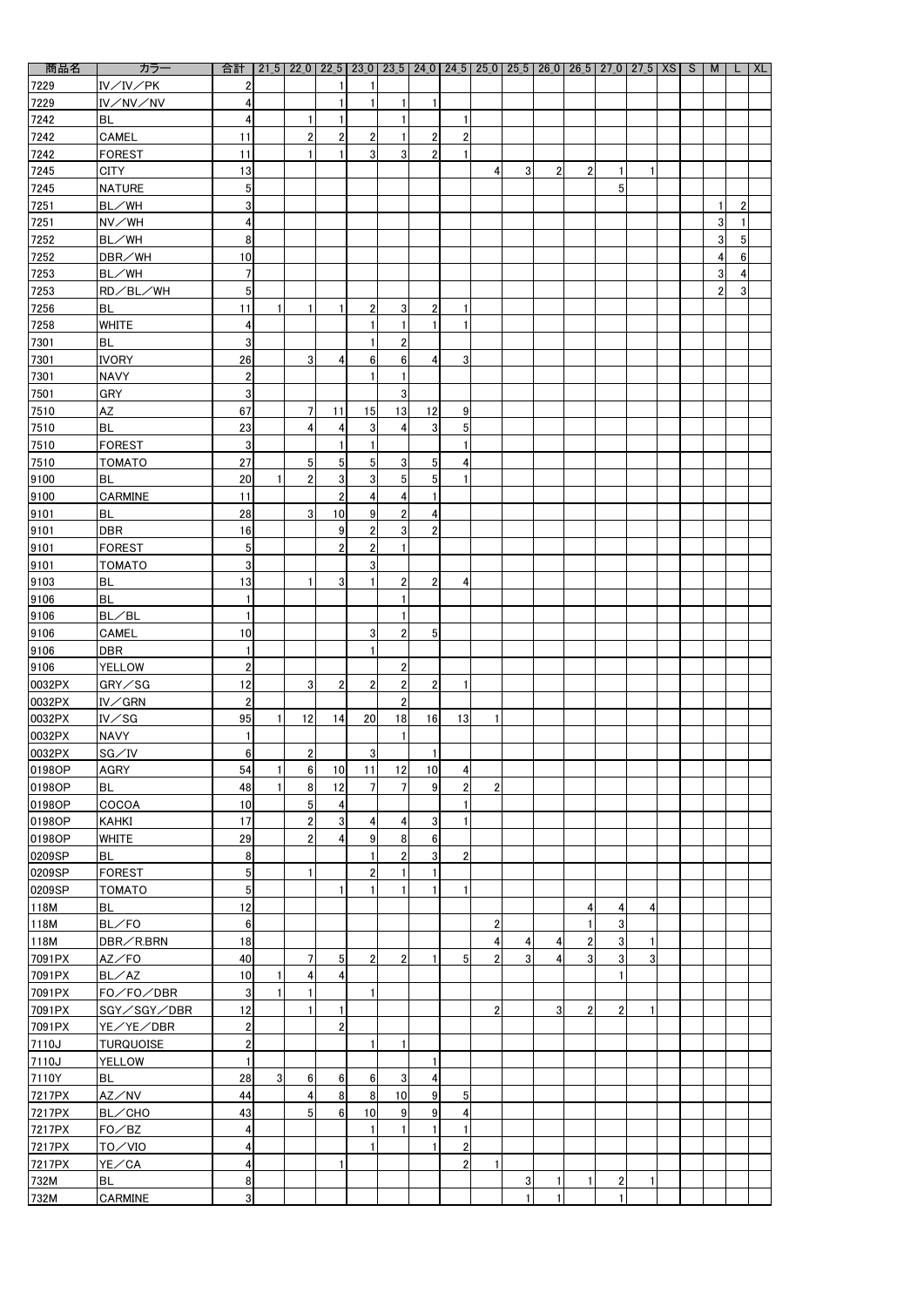| 商品名                 | カラー                        | 合計               |   | $21\overline{5}$   22 0   22 $\overline{5}$   23 0   23 $\overline{5}$   24 0   24 $\overline{5}$   25 0   25 $\overline{5}$   26 0   26 $\overline{5}$   27 0   27 $\overline{5}$   XS   S |                |                  |                |                 |                |                |                |                |                |                |                |  | M              |   | <b>XL</b> |
|---------------------|----------------------------|------------------|---|---------------------------------------------------------------------------------------------------------------------------------------------------------------------------------------------|----------------|------------------|----------------|-----------------|----------------|----------------|----------------|----------------|----------------|----------------|----------------|--|----------------|---|-----------|
| 7229                | IV/IV/PK                   | 2                |   |                                                                                                                                                                                             |                | 1                |                |                 |                |                |                |                |                |                |                |  |                |   |           |
| 7229                | IV/NV/NV                   | 4                |   |                                                                                                                                                                                             |                | 1                |                | -1              |                |                |                |                |                |                |                |  |                |   |           |
| 7242                | BL                         | 4                |   |                                                                                                                                                                                             |                |                  |                |                 |                |                |                |                |                |                |                |  |                |   |           |
| 7242                | <b>CAMEL</b>               | 11               |   | $\overline{2}$                                                                                                                                                                              | $\overline{2}$ | $\overline{c}$   |                | $\overline{2}$  | $\overline{2}$ |                |                |                |                |                |                |  |                |   |           |
| 7242                | <b>FOREST</b>              | 11               |   |                                                                                                                                                                                             |                | $\overline{3}$   | 3              | $\overline{2}$  |                |                |                |                |                |                |                |  |                |   |           |
| 7245                | <b>CITY</b>                | 13               |   |                                                                                                                                                                                             |                |                  |                |                 |                | 4              | 3 <sup>1</sup> | $\overline{2}$ | 2 <sup>1</sup> | 1              | 1              |  |                |   |           |
| 7245                | <b>NATURE</b>              | 5                |   |                                                                                                                                                                                             |                |                  |                |                 |                |                |                |                |                | 5              |                |  |                |   |           |
| 7251                | BL/WH                      | $\mathbf{3}$     |   |                                                                                                                                                                                             |                |                  |                |                 |                |                |                |                |                |                |                |  |                |   |           |
| 7251                | NV/WH                      | 4                |   |                                                                                                                                                                                             |                |                  |                |                 |                |                |                |                |                |                |                |  | 3              |   |           |
| 7252                | BL/WH                      | 8                |   |                                                                                                                                                                                             |                |                  |                |                 |                |                |                |                |                |                |                |  | 3              | 5 |           |
| 7252                | DBR/WH                     | 10               |   |                                                                                                                                                                                             |                |                  |                |                 |                |                |                |                |                |                |                |  | 4              | 6 |           |
| 7253                | BL/WH                      | $\overline{7}$   |   |                                                                                                                                                                                             |                |                  |                |                 |                |                |                |                |                |                |                |  | 3              |   |           |
| 7253                | RD/BL/WH                   | 5                |   |                                                                                                                                                                                             |                |                  |                |                 |                |                |                |                |                |                |                |  | $\overline{2}$ | 3 |           |
| 7256                | <b>BL</b>                  | 11               |   |                                                                                                                                                                                             |                | $\overline{2}$   | 3              | $\overline{2}$  |                |                |                |                |                |                |                |  |                |   |           |
| 7258                | <b>WHITE</b>               | 4                |   |                                                                                                                                                                                             |                |                  |                |                 |                |                |                |                |                |                |                |  |                |   |           |
| 7301                | <b>BL</b>                  | 3                |   |                                                                                                                                                                                             |                | 1                | $\overline{2}$ |                 |                |                |                |                |                |                |                |  |                |   |           |
| 7301                | <b>IVORY</b>               | 26               |   | 3 <sup>1</sup>                                                                                                                                                                              | 4              | $6 \overline{6}$ | $6\phantom{.}$ | 4               | 3              |                |                |                |                |                |                |  |                |   |           |
| 7301                | <b>NAVY</b>                | $\boldsymbol{2}$ |   |                                                                                                                                                                                             |                |                  |                |                 |                |                |                |                |                |                |                |  |                |   |           |
| 7501                | <b>GRY</b>                 | 3 <sup>1</sup>   |   |                                                                                                                                                                                             |                |                  | 3              |                 |                |                |                |                |                |                |                |  |                |   |           |
| 7510                | <b>AZ</b>                  | 67               |   | 7                                                                                                                                                                                           | 11             | 15               | 13             | 12              | 9              |                |                |                |                |                |                |  |                |   |           |
| 7510                | <b>BL</b>                  | 23               |   | 4                                                                                                                                                                                           | 4              | $\mathbf{3}$     | 4              | 3               | 5              |                |                |                |                |                |                |  |                |   |           |
| 7510                | <b>FOREST</b>              | 3                |   |                                                                                                                                                                                             |                | 1                |                |                 |                |                |                |                |                |                |                |  |                |   |           |
| 7510                | <b>TOMATO</b>              | 27               |   | 5 <sub>l</sub>                                                                                                                                                                              | 5 <sub>l</sub> | $5\overline{)}$  | 3              | 5               | 4              |                |                |                |                |                |                |  |                |   |           |
| 9100                | <b>BL</b>                  | 20               |   | $\overline{2}$                                                                                                                                                                              | 3 <sup>1</sup> | $\mathbf{3}$     | $\overline{5}$ | $5\overline{)}$ |                |                |                |                |                |                |                |  |                |   |           |
| 9100                | <b>CARMINE</b>             | 11               |   |                                                                                                                                                                                             | $\overline{2}$ | $\boldsymbol{4}$ | 4              |                 |                |                |                |                |                |                |                |  |                |   |           |
| 9101                | <b>BL</b>                  | 28               |   | 3 <sup>1</sup>                                                                                                                                                                              | 10             | $\vert 9 \vert$  | $\mathbf{2}$   | 4               |                |                |                |                |                |                |                |  |                |   |           |
|                     | DBR                        | 16               |   |                                                                                                                                                                                             | 9              | $\mathbf{2}$     | $\sqrt{3}$     | $\overline{2}$  |                |                |                |                |                |                |                |  |                |   |           |
| $\frac{9101}{9101}$ |                            | 5 <sub>l</sub>   |   |                                                                                                                                                                                             | $\overline{2}$ | $\mathbf{2}$     | $\mathbf{1}$   |                 |                |                |                |                |                |                |                |  |                |   |           |
|                     | <b>FOREST</b>              | 3 <sup>1</sup>   |   |                                                                                                                                                                                             |                | $\mathbf{3}$     |                |                 |                |                |                |                |                |                |                |  |                |   |           |
| 9101                | <b>TOMATO</b><br><b>BL</b> |                  |   |                                                                                                                                                                                             |                |                  |                |                 |                |                |                |                |                |                |                |  |                |   |           |
| 9103                |                            | 13               |   |                                                                                                                                                                                             | 3 <sup>1</sup> | 1                | $\overline{2}$ | $\overline{2}$  | 4              |                |                |                |                |                |                |  |                |   |           |
| 9106                | <b>BL</b>                  | 1                |   |                                                                                                                                                                                             |                |                  |                |                 |                |                |                |                |                |                |                |  |                |   |           |
| 9106                | BL/BL                      | $\mathbf{1}$     |   |                                                                                                                                                                                             |                |                  |                |                 |                |                |                |                |                |                |                |  |                |   |           |
| 9106                | CAMEL                      | 10               |   |                                                                                                                                                                                             |                | 3                | $\overline{2}$ | 5               |                |                |                |                |                |                |                |  |                |   |           |
| 9106                | <b>DBR</b>                 |                  |   |                                                                                                                                                                                             |                |                  |                |                 |                |                |                |                |                |                |                |  |                |   |           |
| 9106                | <b>YELLOW</b>              | $\overline{2}$   |   |                                                                                                                                                                                             |                |                  | $\overline{2}$ |                 |                |                |                |                |                |                |                |  |                |   |           |
| 0032PX              | GRY/SG                     | 12               |   | 3 <sup>1</sup>                                                                                                                                                                              | $2\vert$       | $\overline{2}$   | $\mathbf{2}$   | $\overline{2}$  |                |                |                |                |                |                |                |  |                |   |           |
| 0032PX              | IV/GRN                     | $\mathbf 2$      |   |                                                                                                                                                                                             |                |                  | $\overline{2}$ |                 |                |                |                |                |                |                |                |  |                |   |           |
| 0032PX              | $IV\diagup$ SG             | 95               |   | 12                                                                                                                                                                                          | 14             | 20               | 18             | 16              | 13             |                |                |                |                |                |                |  |                |   |           |
| 0032PX              | <b>NAVY</b>                |                  |   |                                                                                                                                                                                             |                |                  |                |                 |                |                |                |                |                |                |                |  |                |   |           |
| 0032PX              | SG/IV                      | 6 <sup>1</sup>   |   | 2 <sub>l</sub>                                                                                                                                                                              |                | $\mathbf{3}$     |                | -1              |                |                |                |                |                |                |                |  |                |   |           |
| 0198OP              | <b>AGRY</b>                | 54               |   | 6 <sup>1</sup>                                                                                                                                                                              | 10             | 11               | 12             | 10              | 4              |                |                |                |                |                |                |  |                |   |           |
| 0198OP              | <b>BL</b>                  | 48               |   | 8 <sup>1</sup>                                                                                                                                                                              | 12             | $\overline{7}$   | 7              | 9               | $\overline{2}$ | $\overline{2}$ |                |                |                |                |                |  |                |   |           |
| 0198OP              | COCOA                      | 10               |   | 5 <sub>l</sub>                                                                                                                                                                              | 4              |                  |                |                 |                |                |                |                |                |                |                |  |                |   |           |
| 0198OP              | <b>KAHKI</b>               | 17               |   | $\overline{2}$                                                                                                                                                                              | 3 <sup>1</sup> | $\overline{4}$   | 4              | 3               |                |                |                |                |                |                |                |  |                |   |           |
| 0198OP              | <b>WHITE</b>               | 29               |   | $\overline{2}$                                                                                                                                                                              | 4              | $\overline{9}$   | 8              | 6               |                |                |                |                |                |                |                |  |                |   |           |
| 0209SP              | <b>BL</b>                  | 8 <sup>1</sup>   |   |                                                                                                                                                                                             |                | 1                | $\overline{2}$ | 3               | $\overline{2}$ |                |                |                |                |                |                |  |                |   |           |
| 0209SP              | <b>FOREST</b>              | 5 <sub>l</sub>   |   |                                                                                                                                                                                             |                | $\overline{2}$   |                |                 |                |                |                |                |                |                |                |  |                |   |           |
| 0209SP              | <b>TOMATO</b>              | 5 <sub>l</sub>   |   |                                                                                                                                                                                             |                |                  |                |                 |                |                |                |                |                |                |                |  |                |   |           |
| 118M                | <b>BL</b>                  | 12               |   |                                                                                                                                                                                             |                |                  |                |                 |                |                |                |                | 4              | 4              | 4              |  |                |   |           |
| 118M                | $BL$ /FO                   | 6 <sup>1</sup>   |   |                                                                                                                                                                                             |                |                  |                |                 |                | $\overline{2}$ |                |                |                | 3              |                |  |                |   |           |
| 118M                | DBR/R.BRN                  | 18               |   |                                                                                                                                                                                             |                |                  |                |                 |                | 4              | 4              |                | $\overline{2}$ | 3              | 1              |  |                |   |           |
| 7091PX              | AZ/FO                      | 40               |   |                                                                                                                                                                                             | 5 <sub>l</sub> | $\mathbf{2}$     | $\overline{2}$ |                 | 5              | $\overline{2}$ | 3 <sup>1</sup> | 4              | 3 <sup>l</sup> | 3              | $\overline{3}$ |  |                |   |           |
| 7091PX              | BL/AZ                      | 10               |   | 4                                                                                                                                                                                           |                |                  |                |                 |                |                |                |                |                |                |                |  |                |   |           |
| 7091PX              | FO/FO/DBR                  | 3                |   |                                                                                                                                                                                             |                | $\mathbf{1}$     |                |                 |                |                |                |                |                |                |                |  |                |   |           |
| 7091PX              | SGY/SGY/DBR                | 12               |   |                                                                                                                                                                                             |                |                  |                |                 |                | $\overline{2}$ |                | 3 <sup>l</sup> | $\overline{2}$ | $\overline{2}$ | 1              |  |                |   |           |
| 7091PX              | YE/YE/DBR                  | 2 <sub>l</sub>   |   |                                                                                                                                                                                             | $\overline{2}$ |                  |                |                 |                |                |                |                |                |                |                |  |                |   |           |
| 7110J               | <b>TURQUOISE</b>           | $\overline{2}$   |   |                                                                                                                                                                                             |                | 1                | $\blacksquare$ |                 |                |                |                |                |                |                |                |  |                |   |           |
| 7110J               | <b>YELLOW</b>              |                  |   |                                                                                                                                                                                             |                |                  |                |                 |                |                |                |                |                |                |                |  |                |   |           |
| 7110Y               | <b>BL</b>                  | 28               | 3 | 6 <sup>1</sup>                                                                                                                                                                              | 6 <sup>1</sup> | $6 \,$           | $\mathbf 3$    | $\overline{4}$  |                |                |                |                |                |                |                |  |                |   |           |
| 7217PX              | AZ/NV                      | 44               |   | $\vert 4 \vert$                                                                                                                                                                             | 8 <sup>1</sup> | $\boldsymbol{8}$ | 10             | 9               | 5              |                |                |                |                |                |                |  |                |   |           |
| 7217PX              | <b>BL/CHO</b>              | 43               |   | 5 <sub>l</sub>                                                                                                                                                                              | 6 <sup>1</sup> | 10               | 9              | 9               | 4              |                |                |                |                |                |                |  |                |   |           |
| 7217PX              | FO/BC                      | 4                |   |                                                                                                                                                                                             |                | 1                |                | 1               |                |                |                |                |                |                |                |  |                |   |           |
| 7217PX              | TO/VIO                     | 4                |   |                                                                                                                                                                                             |                | 1                |                |                 | $\overline{2}$ |                |                |                |                |                |                |  |                |   |           |
| 7217PX              | YE/CA                      | 4                |   |                                                                                                                                                                                             |                |                  |                |                 | $\overline{2}$ |                |                |                |                |                |                |  |                |   |           |
| 732M                | <b>BL</b>                  | 8                |   |                                                                                                                                                                                             |                |                  |                |                 |                |                | 3 <sup>1</sup> |                |                | $\mathbf 2$    | 1              |  |                |   |           |
| 732M                | <b>CARMINE</b>             | $\mathbf{3}$     |   |                                                                                                                                                                                             |                |                  |                |                 |                |                |                |                |                |                |                |  |                |   |           |